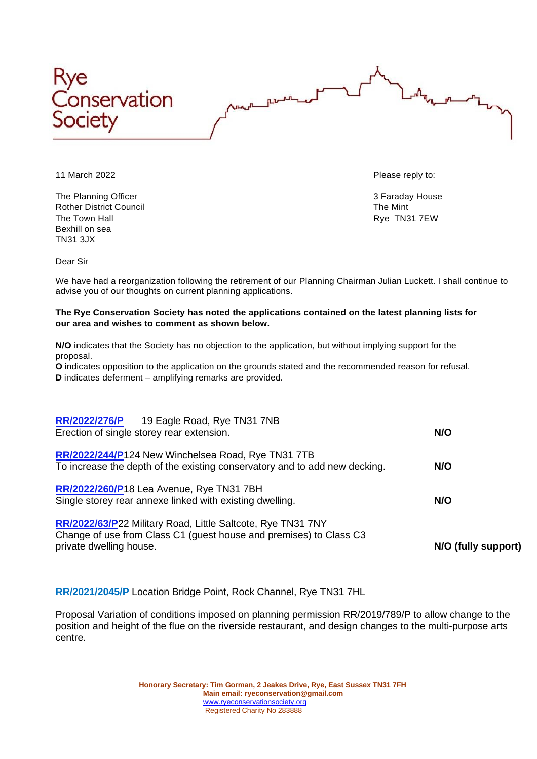



The Planning Officer 3 Faraday House 3 Faraday House Rother District Council **The Mint** The Town Hall Rye TN31 7EW Bexhill on sea TN31 3JX

11 March 2022 Please reply to:

Dear Sir

We have had a reorganization following the retirement of our Planning Chairman Julian Luckett. I shall continue to advise you of our thoughts on current planning applications.

## **The Rye Conservation Society has noted the applications contained on the latest planning lists for our area and wishes to comment as shown below.**

**N/O** indicates that the Society has no objection to the application, but without implying support for the proposal.

**O** indicates opposition to the application on the grounds stated and the recommended reason for refusal. **D** indicates deferment – amplifying remarks are provided.

| RR/2022/276/P 19 Eagle Road, Rye TN31 7NB<br>Erection of single storey rear extension.                                                                       | N/O                 |
|--------------------------------------------------------------------------------------------------------------------------------------------------------------|---------------------|
| RR/2022/244/P124 New Winchelsea Road, Rye TN31 7TB<br>To increase the depth of the existing conservatory and to add new decking.                             | N/O                 |
| RR/2022/260/P18 Lea Avenue, Rye TN31 7BH<br>Single storey rear annexe linked with existing dwelling.                                                         | N/O                 |
| RR/2022/63/P22 Military Road, Little Saltcote, Rye TN31 7NY<br>Change of use from Class C1 (guest house and premises) to Class C3<br>private dwelling house. | N/O (fully support) |

**RR/2021/2045/P** Location Bridge Point, Rock Channel, Rye TN31 7HL

Proposal Variation of conditions imposed on planning permission RR/2019/789/P to allow change to the position and height of the flue on the riverside restaurant, and design changes to the multi-purpose arts centre.